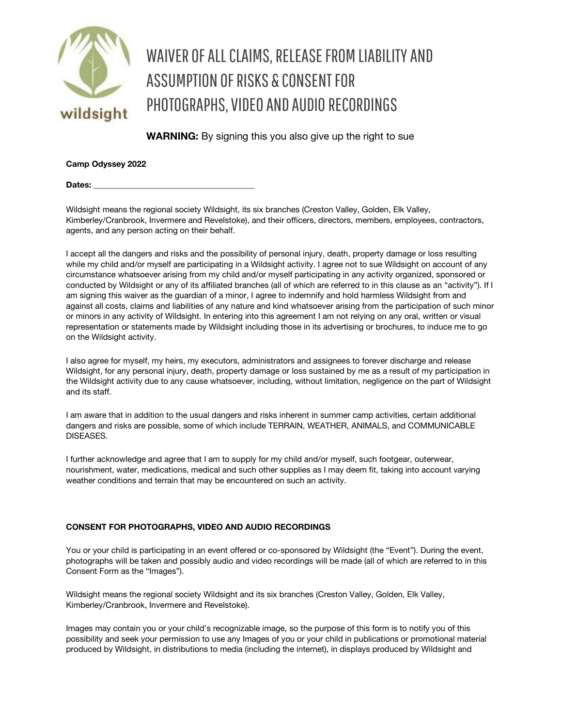

## WAIVER OF ALL CLAIMS, RELEASE FROM LIABILITY AND ASSUMPTION OF RISKS & CONSENT FOR PHOTOGRAPHS, VIDEO AND AUDIO RECORDINGS

WARNING: By signing this you also give up the right to sue

Camp Odyssey 2022

Dates:

Wildsight means the regional society Wildsight, its six branches (Creston Valley, Golden, Elk Valley, Kimberley/Cranbrook, Invermere and Revelstoke), and their officers, directors, members, employees, contractors, agents, and any person acting on their behalf.

I accept all the dangers and risks and the possibility of personal injury, death, property damage or loss resulting while my child and/or myself are participating in a Wildsight activity. I agree not to sue Wildsight on account of any circumstance whatsoever arising from my child and/or myself participating in any activity organized, sponsored or conducted by Wildsight or any of its affiliated branches (all of which are referred to in this clause as an "activity"). If I am signing this waiver as the guardian of a minor, I agree to indemnify and hold harmless Wildsight from and against all costs, claims and liabilities of any nature and kind whatsoever arising from the participation of such minor or minors in any activity of Wildsight. In entering into this agreement I am not relying on any oral, written or visual representation or statements made by Wildsight including those in its advertising or brochures, to induce me to go on the Wildsight activity.

I also agree for myself, my heirs, my executors, administrators and assignees to forever discharge and release Wildsight, for any personal injury, death, property damage or loss sustained by me as a result of my participation in the Wildsight activity due to any cause whatsoever, including, without limitation, negligence on the part of Wildsight and its staff.

I am aware that in addition to the usual dangers and risks inherent in summer camp activities, certain additional dangers and risks are possible, some of which include TERRAIN, WEATHER, ANIMALS, and COMMUNICABLE DISEASES.

I further acknowledge and agree that I am to supply for my child and/or myself, such footgear, outerwear, nourishment, water, medications, medical and such other supplies as I may deem fit, taking into account varying weather conditions and terrain that may be encountered on such an activity.

## CONSENT FOR PHOTOGRAPHS, VIDEO AND AUDIO RECORDINGS

You or your child is participating in an event offered or co-sponsored by Wildsight (the "Event"). During the event, photographs will be taken and possibly audio and video recordings will be made (all of which are referred to in this Consent Form as the "Images").

Wildsight means the regional society Wildsight and its six branches (Creston Valley, Golden, Elk Valley, Kimberley/Cranbrook, Invermere and Revelstoke).

Images may contain you or your child's recognizable image, so the purpose of this form is to notify you of this possibility and seek your permission to use any Images of you or your child in publications or promotional material produced by Wildsight, in distributions to media (including the internet), in displays produced by Wildsight and